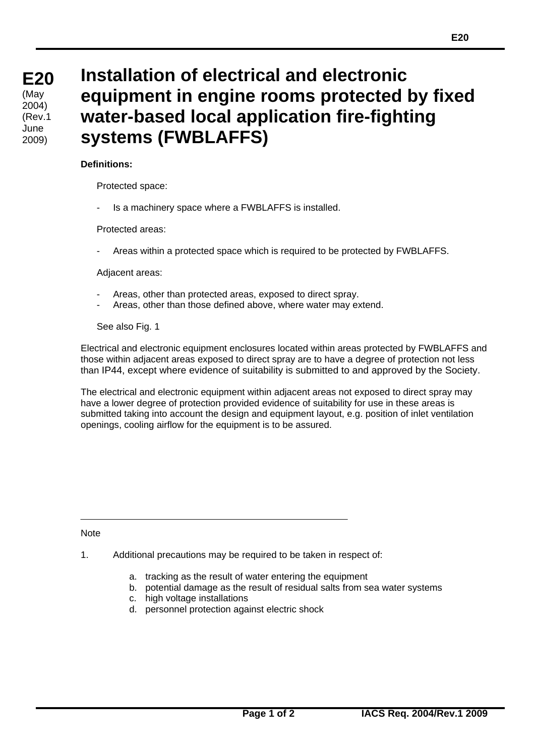## **Installation of electrical and electronic equipment in engine rooms protected by fixed water-based local application fire-fighting systems (FWBLAFFS)**

## **Definitions:**

Protected space:

Is a machinery space where a FWBLAFFS is installed.

Protected areas:

- Areas within a protected space which is required to be protected by FWBLAFFS.

Adjacent areas:

- Areas, other than protected areas, exposed to direct spray.
- Areas, other than those defined above, where water may extend.

See also Fig. 1

Electrical and electronic equipment enclosures located within areas protected by FWBLAFFS and those within adjacent areas exposed to direct spray are to have a degree of protection not less than IP44, except where evidence of suitability is submitted to and approved by the Society.

The electrical and electronic equipment within adjacent areas not exposed to direct spray may have a lower degree of protection provided evidence of suitability for use in these areas is submitted taking into account the design and equipment layout, e.g. position of inlet ventilation openings, cooling airflow for the equipment is to be assured.

**Note** 

 $\overline{a}$ 

1. Additional precautions may be required to be taken in respect of:

- a. tracking as the result of water entering the equipment
- b. potential damage as the result of residual salts from sea water systems
- c. high voltage installations
- d. personnel protection against electric shock